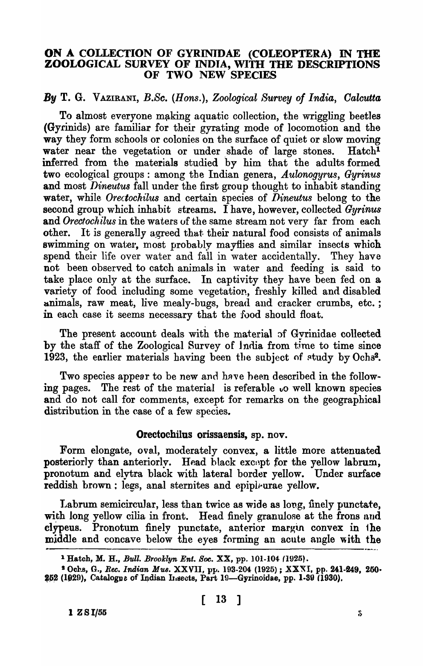## ON A COLLECTION OF GYRINIDAE (COLEOPTERA) IN THE ZOOLOGICAL SURVEY OF INDIA, WITH THE DESCRIPTIONS OF TWO NEW SPECIES

# *By* T. G. VAZIRANI, *B.Sc.* (*Hons.*), *Zoological Survey of India, Calcutta*

To almost everyone making aquatic collection, the wriggling beetles (Gyrinids) are familiar for their gyrating mode of locomotion and the way they form schools or colonies on the surface of quiet or slow moving water near the vegetation or under shade of large stones. Hatch<sup>1</sup> inferred from the materials studied by him that the adults formed two ecological groups: among the Indian genera, *Aulonogyrus, Gyrinus* and most *Dineutus* fall under the first group thought to inhabit standing water, while *Orectochilus* and certain species of *Dineutus* belong to the second group which inhabit streams. I have, however, collected *Gyrinus*  and *Orectochilus* in the waters of the same stream not very far from each other. It is generally agreed that. their natural food consists of animals swimming on water, most probably mayflies and similar insects which spend their life over water and fall in water accidentally. They have not been observed to catch animals in water and feeding is said to take place only at the surface. In captivity they have been fed on a variety of food including some vegetation, freshly killed and disabled animals, raw meat, live mealy-bugs, bread and cracker crumbs, etc.; in each case it seems necessary that the food should float.

The present account deals with the material of Gyrinidae collected by the staff of the Zoological Survey of India from time to time since 1923, the earlier materials having been the subject of  $\text{study by Ochs}^2$ .

Two species appear to be new and have been described in the following pages. The rest of the material is referable  $\omega$  well known species and do not call for comments, except for remarks on the geographical distribution in the case of a few species.

# Orectochilus orissaensis, sp. nov.

Form elongate, oval, moderately convex, a little more attenuated posteriorly than anteriorly. Head black except for the yellow labrum, pronotum and elytra black with lateral border yellow. Under surface reddish brown: legs, anal sternites and epipleurae yellow.

Labrum semicircular, less than twice as wide as long, finely punctate, with long yellow cilia in front. Head finely granulose at the frons and clypeus. Pronotum finely punctate, anterior margin convex in the middle and concave below the eyes forming an acute angle with the

<sup>&</sup>lt;sup>1</sup> Hatch, M. H., *Bull. Brooklyn Ent. Soc.* XX, pp. 101-104 (1925).

<sup>&</sup>lt;sup>2</sup> Ochs, G., *Rec. Indian Mus.* XXVII, pp. 193-204 (1925) ; XXXI, pp. 241-249, 250· 252 (1929), Catalogne of Indian Insects, Part 19-Gyrinoidae, pp. 1-39 (1930).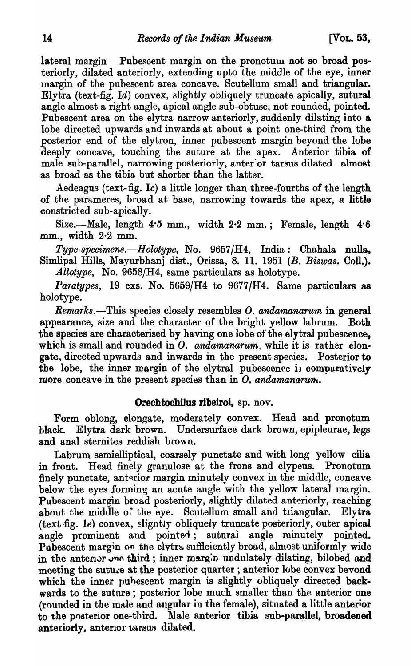lateral margin Pubescent margin on the pronotum not so broad posteriorly, dilated anteriorly, extending upto the middle of the eye, inner margin of the pubescent area concave. Scutellum small and triangular. Elytra (text-fig. Id) convex, slightly obliquely truncate apically, sutural angle almost a right angle, apical angle sub-obtuse, not rounded, pointed. Pubescent area on the elytra narrow anteriorly, suddenly dilating into a lobe directed upwards and inwards at about a point one-third from the posterior end of the elytron, inner pubescent margin beyond the lobe deeply concave, touching the suture at the apex. Anterior tibia of male sub-parallel, narrowing posteriorly, anter:or tarsus dilated almost as broad as the tibia but shorter than the latter.

Aedeagus (text-fig. Ic) a little longer than three-fourths of the length of the parameres, broad at base, narrowing towards the apex, a little constricted sub-apically.

Size.--Male, length  $4.5$  mm., width  $2.2$  mm.; Female, length  $4.6$  $mm.$ . width  $2.2$  mm.

*Type-specimens.-Holotype,* No. *9657/H4,* India: Chahala nulla, Simlipal Hills, Mayurbhanj dist., Orissa, 8. 11. 1951 *(B. Biswas.* Coll.). Allotype, No. 9658/H4, same particulars as holotype.

*Paratypes,* 19 exs. No.  $5659/H4$  to  $9677/H4$ . Same particulars as holotype.

*Remarks.-This* species closely resembles O. *andamanarum* in general appearance, size and the character of the bright yellow labrum. Both the species are characterised by having one lobe of the elytral pubescence, which is small and rounded in O. *andamanarum*, while it is rather elongate, directed upwards and inwards in the present species. Posterior to the lobe, the inner margin of the elytral pubescence is comparatively more concave in the present species than in  $\overline{O}$ , andamanarum.

## Orechtochilus ribeiroi, sp. nov.

Form oblong, elongate, moderately convex. Head and pronotum hlack. Elytra dark brown. Undersurface dark brown, epipleurae, legs and anal sternites reddish brown.

Labrum semielliptical, coarsely punctate and with long yellow cilia in front. Head finely granulose at the frons and clypeus. Pronotum. finely punctate, anterior margin minutely convex in the middle, concave below the eyes forming an acute angle with the yellow lateral margin. Pubescent margin broad posteriorly, slightly dilated anteriorly, reaching about the middle of the eye. Scutellum small and triangular. Elytra (text fig. le) convex, slightly obliquely truncate posteriorly, outer apical angle prominent and pointed; sutural angle minutely pointed. Pubescent margin on the elvtra sufficiently broad, almost uniformly wide in the anterian-third; inner margin undulately dilating, bilobed and meeting the suture at the posterior quarter; anterior lobe convex beyond which the inner pubescent margin is slightly obliquely directed backwards to the suture; posterior lobe much smaller than the anterior one  $($ rounded in the male and angular in the female), situated a little anterior to the posterior one-third. Male anterior tibia sub-parallel, broadened anteriorly, anterior tarsus dilated.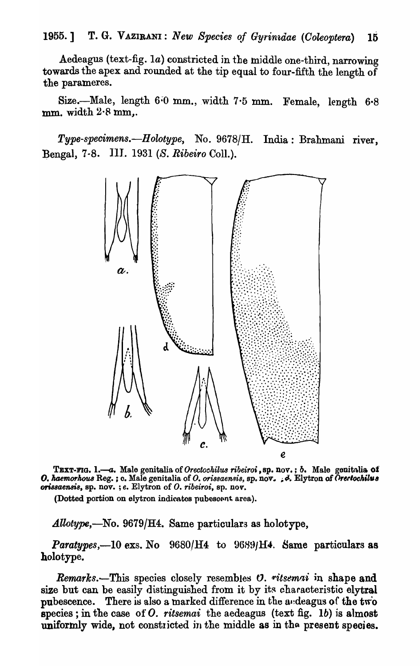Aedeagus (text-fig. 1a) constricted in the middle one-third, narrowing towards the apex and rounded at the tip equal to four-fifth the length of the parameres.

Size.-Male, length  $6.0$  mm., width  $7.5$  mm. Female, length  $6.8$ mm. width  $2.8$  mm,.

*Type-specimens.-Holotype,* No. *9678JH.* India: Brahmani nver, :aengal, 7-8. III.. 1931 (S. *Ribeiro* ColI.).



TEXT-FIG. 1.-a. Male genitalia of *Orectochilus ribeiroi*, sp. nov.; *b.* Male genitalia of O. haemorhous Reg. ; c. Male genitalia of O. orissaensis, sp. nov. ; & Elytron of Orertochilus *ori88aeMs,* sp. nov. ; e. Elytron of *o. ribeiroi,* sp. nov ..

(Dotted portion on elytron indicates pubescent area).

*Allotype,-No.* 9679/H4. Same particulars as holotype,

*Paratypes,*-10 exs. No  $9680/H4$  to  $9689/H4$ . Same particulars as holotype.

*Remarks.*—This species closely resembles *O. ritsemai* in shape and size but can be easily distinguished from it by its characteristic elytral pubescence. There is also a marked difference in the andeagus of the two species; in the case of *O. ritsemai* the aedeagus (text fig. 1b) is almost uniformly wide, not constricted in the middle as in the present species.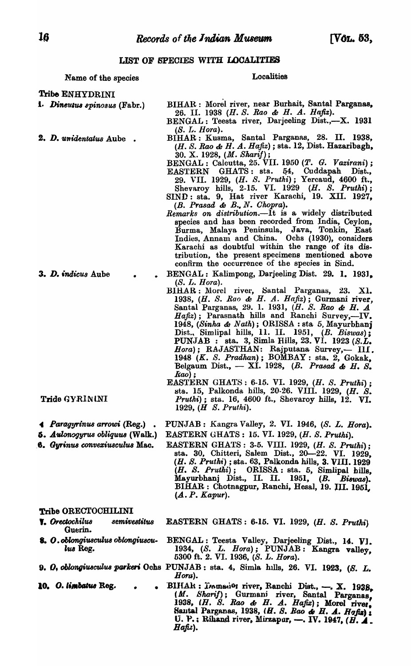### LIST OF SPECIES WITH LOCALITIES

### Name of the species

#### **Localities**

Tribe ENHYDRINI

1. Dineutus spinosus (Fabr.)

2. D. unidentatus Aube.

- BIHAR : Morel river, near Burhait, Santal Parganas, 26. II. 1938 (H. S. Rao & H. A. Hafiz). BENGAL: Teesta river, Darjeeling Dist.,-X. 1931
- $(S. L. Hora).$ BIHAR: Kusma, Santal Parganas, 28. II. 1938, (H. S. Rao & H. A. Hafiz); sta. 12, Dist. Hazaribagh, 30. X. 1928, (*M. Sharif*);<br>BENGAL: Calcutta, 25. VII. 1950 (*T. G. Vazirani*);
- **EASTERN** GHATS: sta.  $54$ , Cuddapah Dist., 29. VII. 1929, (H. S. Pruthi); Yercaud, 4600 ft., Shevaroy hills, 2-15. VI. 1929 (H. S. Pruthi);<br>SIND: sta. 9, Hat river Karachi, 19. XII. 1927,
- (B. Prasad & B., N. Chopra).
- Remarks on distribution. It is a widely distributed species and has been recorded from India, Ceylon, Burma, Malaya Peninsula, Java, Tonkin, East<br>Indies, Annam and China. Ochs (1930), considers Karachi as doubtful within the range of its distribution, the present specimens mentioned above confirm the occurrence of the species in Sind.
- BENGAL: Kalimpong, Darjeeling Dist. 29. 1. 1931.  $(S. L. Hora).$
- BIHAR: Morel river, Santal Parganas, 23. X1.<br>1938, (H. S. Rao & H. A. Hafiz); Gurmani river,<br>Santal Parganas, 29. 1. 1931, (H. S. Rao & H. A<br>Hafiz); Parasnath hills and Ranchi Survey,--IV. 1948, (Sinha & Nath); ORISSA : sta 5, Mayurbhanj<br>Dist., Simlipal hills, 11. II. 1951, (B. Biswas);<br>PUNJAB : sta. 3, Simla Hills, 23. VI. 1923 (S.L. Hora); RAJASTHAN: Rajputana Survey,- III. 1948  $(K. S. Pradhan)$ ; BOMBAY : sta. 2, Gokak, Belgaum Dist.,  $-$  XI. 1928, (B. Prasad & H. S. Kao);
- EASTERN GHATS: 6-15. VI. 1929, (H. S. Pruthi);<br>sta. 15, Palkonda hills, 20-26. VIII. 1929, (H. S. Pruthi); sta. 16, 4600 ft., Shevaroy hills, 12. VI. 1929, (H S. Pruthi).
- PUNJAB: Kangra Valley, 2. VI. 1946, (S. L. Hora). EASTERN GHATS: 15. VI. 1929, (H. S. Pruthi).
	- EASTERN GHATS: 3-5. VIII. 1929, (H. S. Pruthi); sta. 30, Chitteri, Salem Dist., 20 - 22. VI. 1929, (H. S. Pruthi); sta. 63, Palkonda hills, 3. VIII. 1929 (H. S. Pruthi); ORISSA: sta. 5, Simlipal hills,<br>Mayurbhanj Dist., II. II. 1951, (B. Biswas).<br>BIHAR: Chotnagpur, Ranchi, Hesal, 19. III. 1951,  $(A.P. Kapur).$

### Tribe ORECTOCHILINI

- **T.** Orectochilus semivestitus Guerin.
- 8. O. oblongiusculus oblongiusculus Reg.
- 
- 10. O. limbatus Reg.
- **EASTERN GHATS: 6-15. VI. 1929, (H. S. Pruthi)**
- BENGAL: Teesta Valley, Darjeeling Dist., 14. VI.<br>1934, (S. L. Hora); PUNJAB: Kangra valley, 5300 ft. 2. VI. 1936, (S. L. Hora).
- 9. O. oblongiusculus parkeri Ochs PUNJAB: sta. 4, Simla hills, 26. VI. 1923, (S. L. Horu).
	- BIHAR: Jounesion river, Ranchi Dist., -. X. 1938,<br>(*M. Sharif*); Gurmani river, Santal Parganas,<br>1938, (*H. S. Rao & H. A. Hafiz*); Morel river, Santal Parganas, 1938, (H. S. Rao & H. A. Hafiz); U. P.: Rihand river, Mirzapur, -. IV. 1947, ( $\overline{H}$ . 4. Hafiz).

3. D. indicus Aube

- Tride GYRINLNI
- 4 Paragyrinus arrowi (Reg.).
- $5.$  Aulonogyrus obliquus (Walk.)
- 6. Gyrinus convexiusculus Mac.